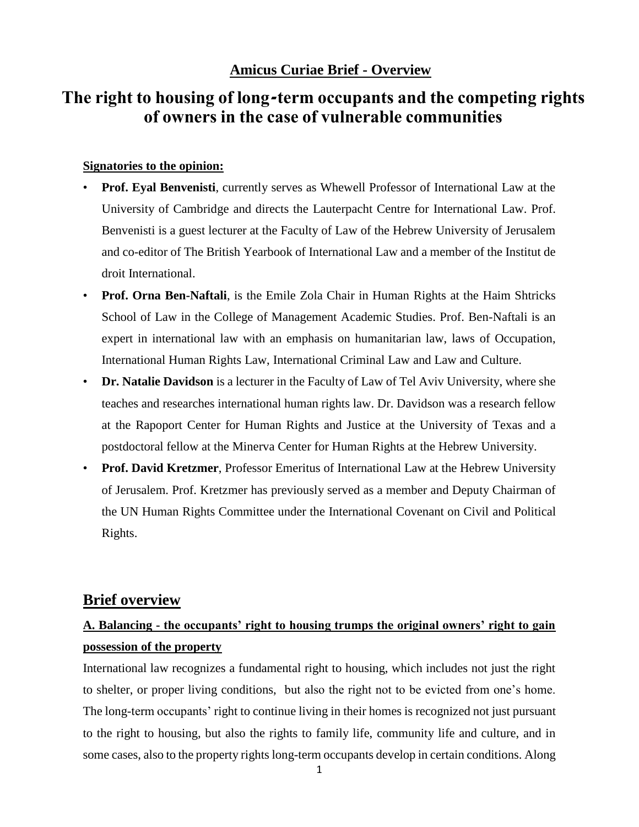### **Amicus Curiae Brief - Overview**

# **The right to housing of long-term occupants and the competing rights of owners in the case of vulnerable communities**

#### **Signatories to the opinion:**

- **Prof. Eyal Benvenisti**, currently serves as Whewell Professor of International Law at the University of Cambridge and directs the Lauterpacht Centre for International Law. Prof. Benvenisti is a guest lecturer at the Faculty of Law of the Hebrew University of Jerusalem and co-editor of The British Yearbook of International Law and a member of the Institut de droit International.
- **Prof. Orna Ben-Naftali**, is the Emile Zola Chair in Human Rights at the Haim Shtricks School of Law in the College of Management Academic Studies. Prof. Ben-Naftali is an expert in international law with an emphasis on humanitarian law, laws of Occupation, International Human Rights Law, International Criminal Law and Law and Culture.
- **Dr. Natalie Davidson** is a lecturer in the Faculty of Law of Tel Aviv University, where she teaches and researches international human rights law. Dr. Davidson was a research fellow at the Rapoport Center for Human Rights and Justice at the University of Texas and a postdoctoral fellow at the Minerva Center for Human Rights at the Hebrew University.
- **Prof. David Kretzmer**, Professor Emeritus of International Law at the Hebrew University of Jerusalem. Prof. Kretzmer has previously served as a member and Deputy Chairman of the UN Human Rights Committee under the International Covenant on Civil and Political Rights.

### **Brief overview**

## **A. Balancing - the occupants' right to housing trumps the original owners' right to gain possession of the property**

International law recognizes a fundamental right to housing, which includes not just the right to shelter, or proper living conditions, but also the right not to be evicted from one's home. The long-term occupants' right to continue living in their homes is recognized not just pursuant to the right to housing, but also the rights to family life, community life and culture, and in some cases, also to the property rights long-term occupants develop in certain conditions. Along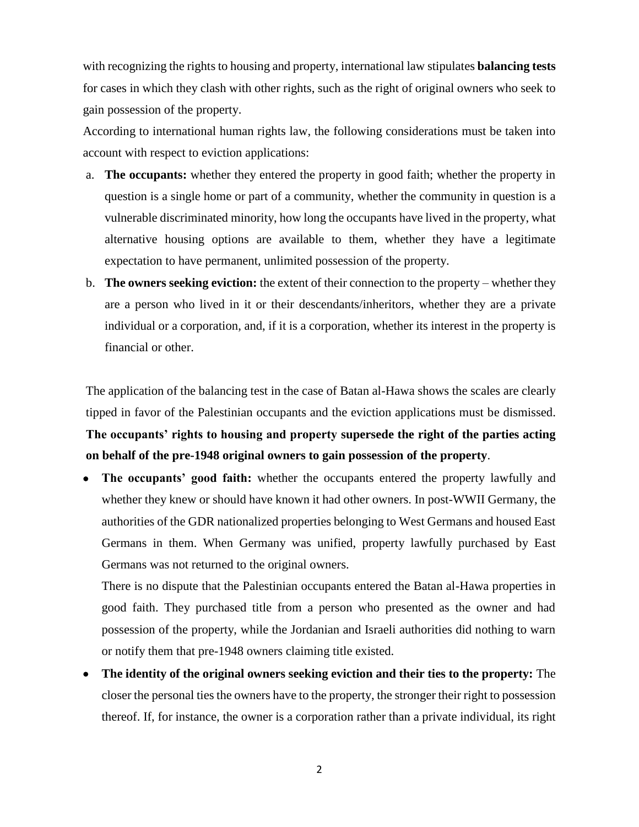with recognizing the rights to housing and property, international law stipulates **balancing tests** for cases in which they clash with other rights, such as the right of original owners who seek to gain possession of the property.

According to international human rights law, the following considerations must be taken into account with respect to eviction applications:

- a. **The occupants:** whether they entered the property in good faith; whether the property in question is a single home or part of a community, whether the community in question is a vulnerable discriminated minority, how long the occupants have lived in the property, what alternative housing options are available to them, whether they have a legitimate expectation to have permanent, unlimited possession of the property.
- b. **The owners seeking eviction:** the extent of their connection to the property whether they are a person who lived in it or their descendants/inheritors, whether they are a private individual or a corporation, and, if it is a corporation, whether its interest in the property is financial or other.

The application of the balancing test in the case of Batan al-Hawa shows the scales are clearly tipped in favor of the Palestinian occupants and the eviction applications must be dismissed. **The occupants' rights to housing and property supersede the right of the parties acting on behalf of the pre-1948 original owners to gain possession of the property**.

 **The occupants' good faith:** whether the occupants entered the property lawfully and whether they knew or should have known it had other owners. In post-WWII Germany, the authorities of the GDR nationalized properties belonging to West Germans and housed East Germans in them. When Germany was unified, property lawfully purchased by East Germans was not returned to the original owners.

There is no dispute that the Palestinian occupants entered the Batan al-Hawa properties in good faith. They purchased title from a person who presented as the owner and had possession of the property, while the Jordanian and Israeli authorities did nothing to warn or notify them that pre-1948 owners claiming title existed.

 **The identity of the original owners seeking eviction and their ties to the property:** The closer the personal ties the owners have to the property, the stronger their right to possession thereof. If, for instance, the owner is a corporation rather than a private individual, its right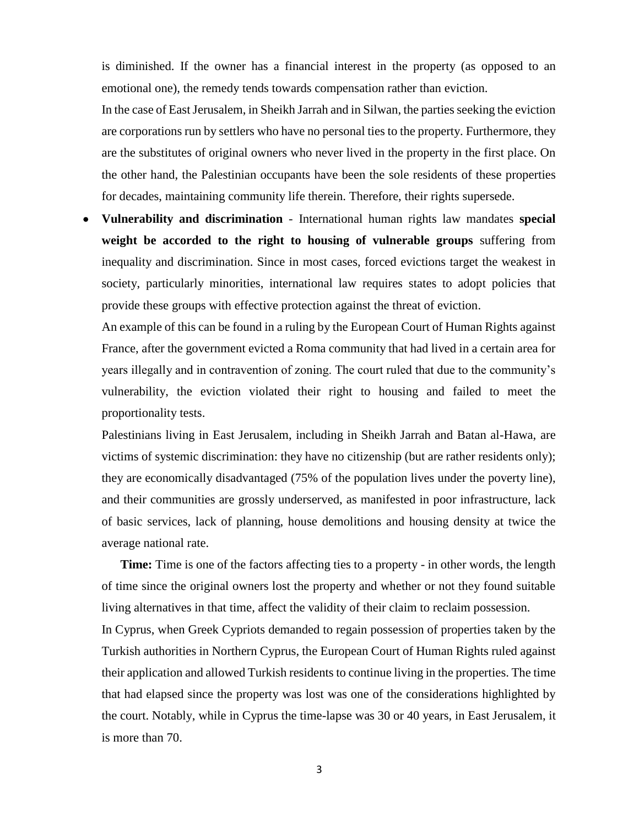is diminished. If the owner has a financial interest in the property (as opposed to an emotional one), the remedy tends towards compensation rather than eviction.

In the case of East Jerusalem, in Sheikh Jarrah and in Silwan, the parties seeking the eviction are corporations run by settlers who have no personal ties to the property. Furthermore, they are the substitutes of original owners who never lived in the property in the first place. On the other hand, the Palestinian occupants have been the sole residents of these properties for decades, maintaining community life therein. Therefore, their rights supersede.

 **Vulnerability and discrimination** - International human rights law mandates **special weight be accorded to the right to housing of vulnerable groups** suffering from inequality and discrimination. Since in most cases, forced evictions target the weakest in society, particularly minorities, international law requires states to adopt policies that provide these groups with effective protection against the threat of eviction.

An example of this can be found in a ruling by the European Court of Human Rights against France, after the government evicted a Roma community that had lived in a certain area for years illegally and in contravention of zoning. The court ruled that due to the community's vulnerability, the eviction violated their right to housing and failed to meet the proportionality tests.

Palestinians living in East Jerusalem, including in Sheikh Jarrah and Batan al-Hawa, are victims of systemic discrimination: they have no citizenship (but are rather residents only); they are economically disadvantaged (75% of the population lives under the poverty line), and their communities are grossly underserved, as manifested in poor infrastructure, lack of basic services, lack of planning, house demolitions and housing density at twice the average national rate.

**Time:** Time is one of the factors affecting ties to a property - in other words, the length of time since the original owners lost the property and whether or not they found suitable living alternatives in that time, affect the validity of their claim to reclaim possession.

In Cyprus, when Greek Cypriots demanded to regain possession of properties taken by the Turkish authorities in Northern Cyprus, the European Court of Human Rights ruled against their application and allowed Turkish residents to continue living in the properties. The time that had elapsed since the property was lost was one of the considerations highlighted by the court. Notably, while in Cyprus the time-lapse was 30 or 40 years, in East Jerusalem, it is more than 70.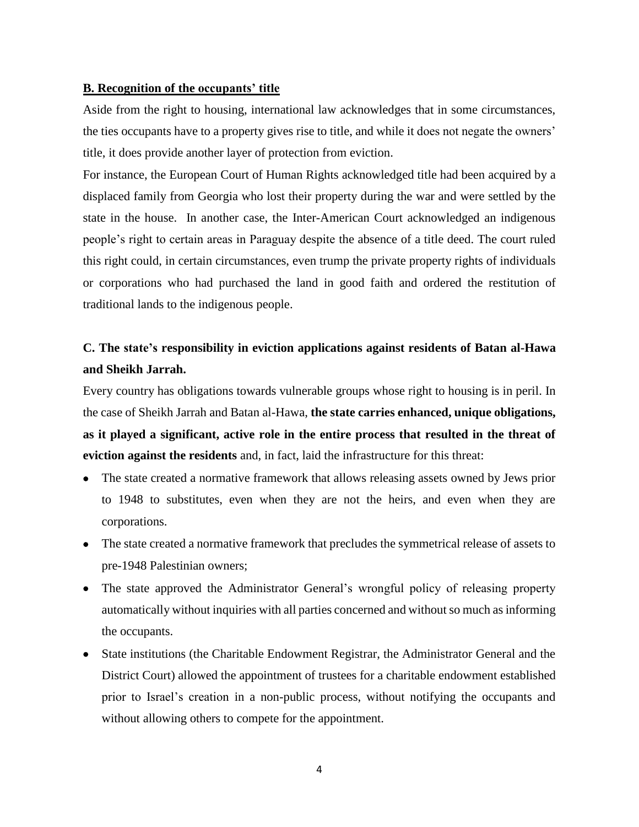#### **B. Recognition of the occupants' title**

Aside from the right to housing, international law acknowledges that in some circumstances, the ties occupants have to a property gives rise to title, and while it does not negate the owners' title, it does provide another layer of protection from eviction.

For instance, the European Court of Human Rights acknowledged title had been acquired by a displaced family from Georgia who lost their property during the war and were settled by the state in the house. In another case, the Inter-American Court acknowledged an indigenous people's right to certain areas in Paraguay despite the absence of a title deed. The court ruled this right could, in certain circumstances, even trump the private property rights of individuals or corporations who had purchased the land in good faith and ordered the restitution of traditional lands to the indigenous people.

## **C. The state's responsibility in eviction applications against residents of Batan al-Hawa and Sheikh Jarrah.**

Every country has obligations towards vulnerable groups whose right to housing is in peril. In the case of Sheikh Jarrah and Batan al-Hawa, **the state carries enhanced, unique obligations, as it played a significant, active role in the entire process that resulted in the threat of eviction against the residents** and, in fact, laid the infrastructure for this threat:

- The state created a normative framework that allows releasing assets owned by Jews prior to 1948 to substitutes, even when they are not the heirs, and even when they are corporations.
- The state created a normative framework that precludes the symmetrical release of assets to pre-1948 Palestinian owners;
- The state approved the Administrator General's wrongful policy of releasing property automatically without inquiries with all parties concerned and without so much as informing the occupants.
- State institutions (the Charitable Endowment Registrar, the Administrator General and the District Court) allowed the appointment of trustees for a charitable endowment established prior to Israel's creation in a non-public process, without notifying the occupants and without allowing others to compete for the appointment.